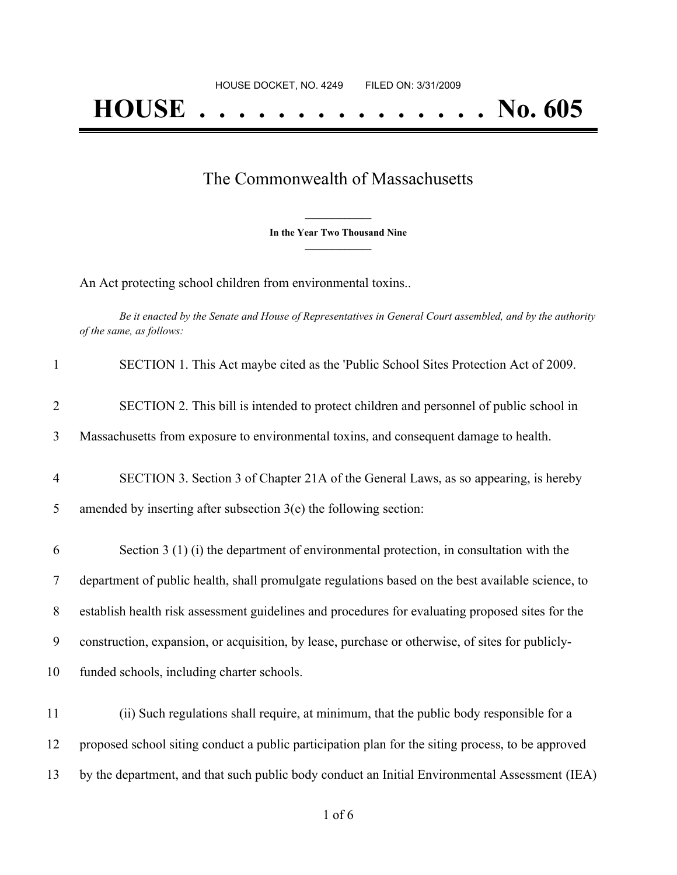## The Commonwealth of Massachusetts

**\_\_\_\_\_\_\_\_\_\_\_\_\_\_\_ In the Year Two Thousand Nine \_\_\_\_\_\_\_\_\_\_\_\_\_\_\_**

An Act protecting school children from environmental toxins..

Be it enacted by the Senate and House of Representatives in General Court assembled, and by the authority *of the same, as follows:*

| $\mathbf{1}$   | SECTION 1. This Act maybe cited as the 'Public School Sites Protection Act of 2009.               |
|----------------|---------------------------------------------------------------------------------------------------|
| $\overline{2}$ | SECTION 2. This bill is intended to protect children and personnel of public school in            |
| 3              | Massachusetts from exposure to environmental toxins, and consequent damage to health.             |
| $\overline{4}$ | SECTION 3. Section 3 of Chapter 21A of the General Laws, as so appearing, is hereby               |
| 5              | amended by inserting after subsection $3(e)$ the following section:                               |
| 6              | Section 3 (1) (i) the department of environmental protection, in consultation with the            |
| 7              | department of public health, shall promulgate regulations based on the best available science, to |
| $8\,$          | establish health risk assessment guidelines and procedures for evaluating proposed sites for the  |
| 9              | construction, expansion, or acquisition, by lease, purchase or otherwise, of sites for publicly-  |
| 10             | funded schools, including charter schools.                                                        |
| 11             | (ii) Such regulations shall require, at minimum, that the public body responsible for a           |
| 12             | proposed school siting conduct a public participation plan for the siting process, to be approved |
| 13             | by the department, and that such public body conduct an Initial Environmental Assessment (IEA)    |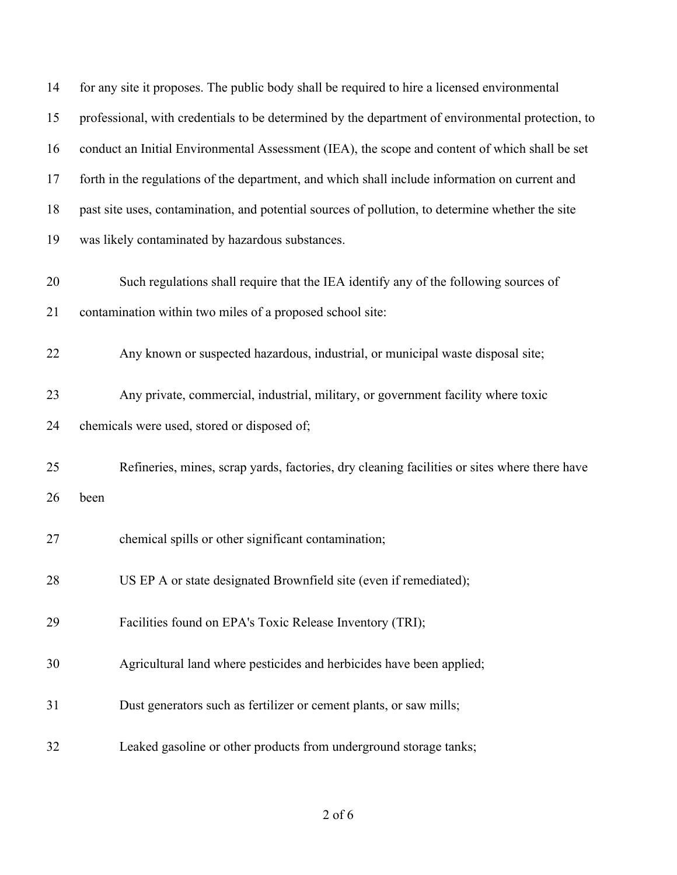| 14 | for any site it proposes. The public body shall be required to hire a licensed environmental      |
|----|---------------------------------------------------------------------------------------------------|
| 15 | professional, with credentials to be determined by the department of environmental protection, to |
| 16 | conduct an Initial Environmental Assessment (IEA), the scope and content of which shall be set    |
| 17 | forth in the regulations of the department, and which shall include information on current and    |
| 18 | past site uses, contamination, and potential sources of pollution, to determine whether the site  |
| 19 | was likely contaminated by hazardous substances.                                                  |
| 20 | Such regulations shall require that the IEA identify any of the following sources of              |
| 21 | contamination within two miles of a proposed school site:                                         |
| 22 | Any known or suspected hazardous, industrial, or municipal waste disposal site;                   |
| 23 | Any private, commercial, industrial, military, or government facility where toxic                 |
| 24 | chemicals were used, stored or disposed of;                                                       |
| 25 | Refineries, mines, scrap yards, factories, dry cleaning facilities or sites where there have      |
| 26 | been                                                                                              |
| 27 | chemical spills or other significant contamination;                                               |
| 28 | US EP A or state designated Brownfield site (even if remediated);                                 |
| 29 | Facilities found on EPA's Toxic Release Inventory (TRI);                                          |
| 30 | Agricultural land where pesticides and herbicides have been applied;                              |
| 31 | Dust generators such as fertilizer or cement plants, or saw mills;                                |
| 32 | Leaked gasoline or other products from underground storage tanks;                                 |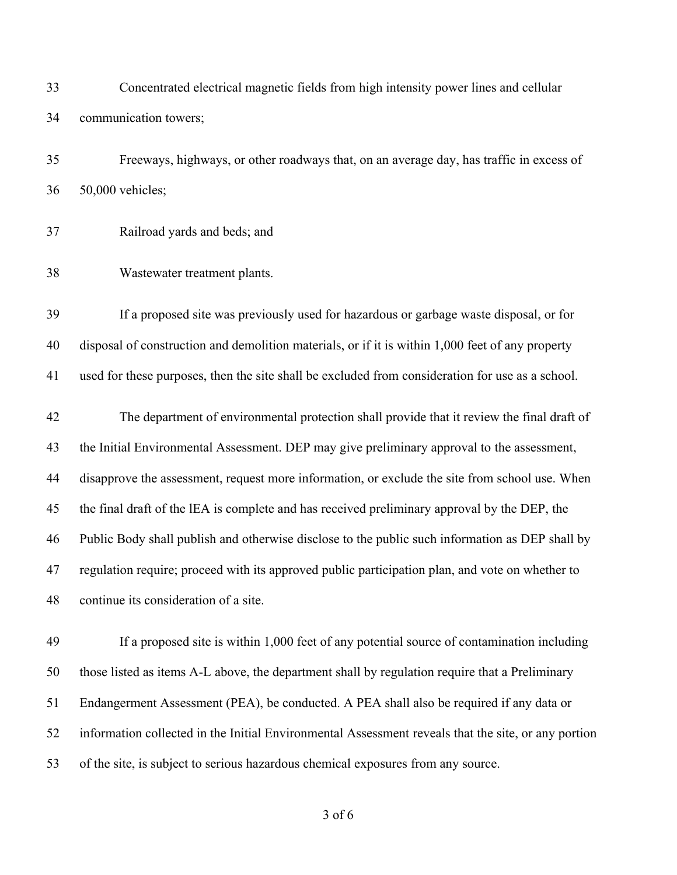| 33 | Concentrated electrical magnetic fields from high intensity power lines and cellular |
|----|--------------------------------------------------------------------------------------|
|    | 34 communication towers;                                                             |

 Freeways, highways, or other roadways that, on an average day, has traffic in excess of 50,000 vehicles;

- Railroad yards and beds; and
- Wastewater treatment plants.

 If a proposed site was previously used for hazardous or garbage waste disposal, or for disposal of construction and demolition materials, or if it is within 1,000 feet of any property used for these purposes, then the site shall be excluded from consideration for use as a school.

 The department of environmental protection shall provide that it review the final draft of the Initial Environmental Assessment. DEP may give preliminary approval to the assessment, disapprove the assessment, request more information, or exclude the site from school use. When the final draft of the lEA is complete and has received preliminary approval by the DEP, the Public Body shall publish and otherwise disclose to the public such information as DEP shall by 47 regulation require; proceed with its approved public participation plan, and vote on whether to continue its consideration of a site.

 If a proposed site is within 1,000 feet of any potential source of contamination including those listed as items A-L above, the department shall by regulation require that a Preliminary Endangerment Assessment (PEA), be conducted. A PEA shall also be required if any data or information collected in the Initial Environmental Assessment reveals that the site, or any portion of the site, is subject to serious hazardous chemical exposures from any source.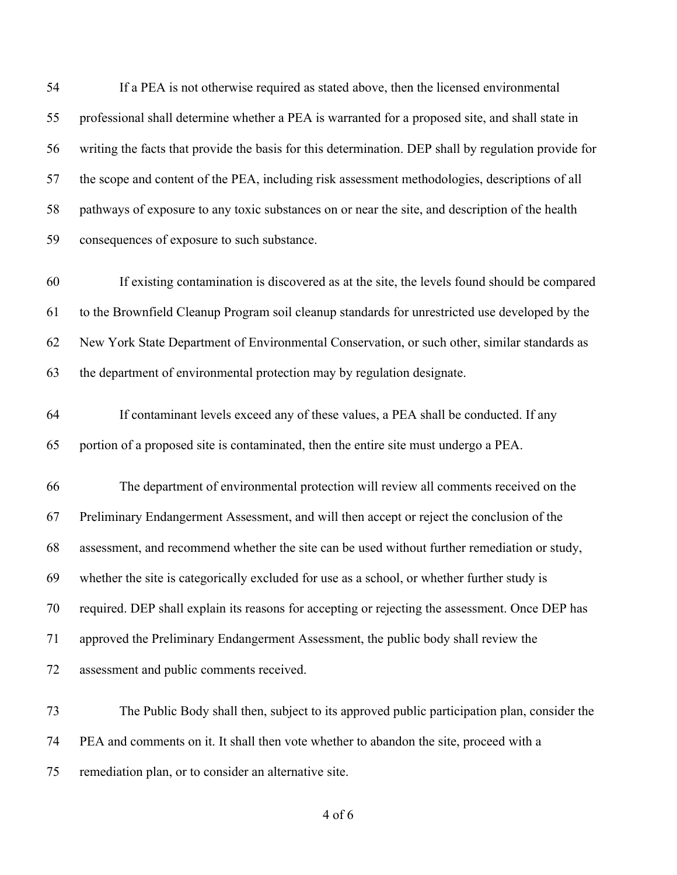If a PEA is not otherwise required as stated above, then the licensed environmental professional shall determine whether a PEA is warranted for a proposed site, and shall state in writing the facts that provide the basis for this determination. DEP shall by regulation provide for the scope and content of the PEA, including risk assessment methodologies, descriptions of all pathways of exposure to any toxic substances on or near the site, and description of the health consequences of exposure to such substance. If existing contamination is discovered as at the site, the levels found should be compared to the Brownfield Cleanup Program soil cleanup standards for unrestricted use developed by the New York State Department of Environmental Conservation, or such other, similar standards as the department of environmental protection may by regulation designate. If contaminant levels exceed any of these values, a PEA shall be conducted. If any portion of a proposed site is contaminated, then the entire site must undergo a PEA. The department of environmental protection will review all comments received on the Preliminary Endangerment Assessment, and will then accept or reject the conclusion of the assessment, and recommend whether the site can be used without further remediation or study, whether the site is categorically excluded for use as a school, or whether further study is required. DEP shall explain its reasons for accepting or rejecting the assessment. Once DEP has approved the Preliminary Endangerment Assessment, the public body shall review the assessment and public comments received. The Public Body shall then, subject to its approved public participation plan, consider the PEA and comments on it. It shall then vote whether to abandon the site, proceed with a remediation plan, or to consider an alternative site.

of 6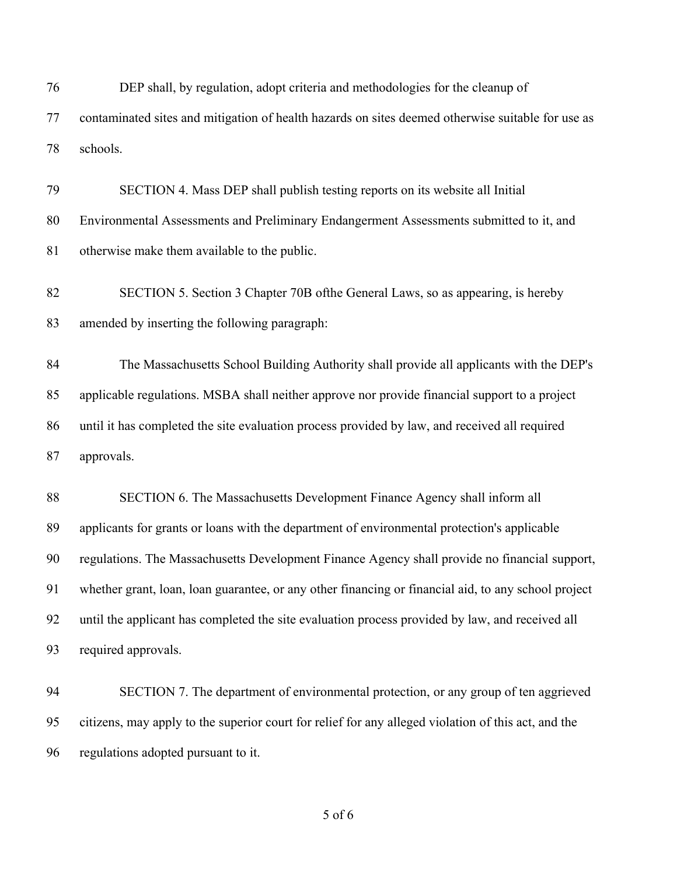| 76       | DEP shall, by regulation, adopt criteria and methodologies for the cleanup of                                                     |
|----------|-----------------------------------------------------------------------------------------------------------------------------------|
| 77       | contaminated sites and mitigation of health hazards on sites deemed otherwise suitable for use as                                 |
| 78       | schools.                                                                                                                          |
| 79       | SECTION 4. Mass DEP shall publish testing reports on its website all Initial                                                      |
| 80       | Environmental Assessments and Preliminary Endangerment Assessments submitted to it, and                                           |
| 81       | otherwise make them available to the public.                                                                                      |
| 82<br>83 | SECTION 5. Section 3 Chapter 70B of the General Laws, so as appearing, is hereby<br>amended by inserting the following paragraph: |
| 84       | The Massachusetts School Building Authority shall provide all applicants with the DEP's                                           |
| 85       | applicable regulations. MSBA shall neither approve nor provide financial support to a project                                     |
| 86       | until it has completed the site evaluation process provided by law, and received all required                                     |
| 87       | approvals.                                                                                                                        |
| 88       | SECTION 6. The Massachusetts Development Finance Agency shall inform all                                                          |
| 89       | applicants for grants or loans with the department of environmental protection's applicable                                       |
| 90       | regulations. The Massachusetts Development Finance Agency shall provide no financial support,                                     |
| 91       | whether grant, loan, loan guarantee, or any other financing or financial aid, to any school project                               |
| 92       | until the applicant has completed the site evaluation process provided by law, and received all                                   |
| 93       | required approvals.                                                                                                               |
| 94       | SECTION 7. The department of environmental protection, or any group of ten aggrieved                                              |
| 95       | citizens, may apply to the superior court for relief for any alleged violation of this act, and the                               |
| 96       | regulations adopted pursuant to it.                                                                                               |
|          |                                                                                                                                   |

of 6